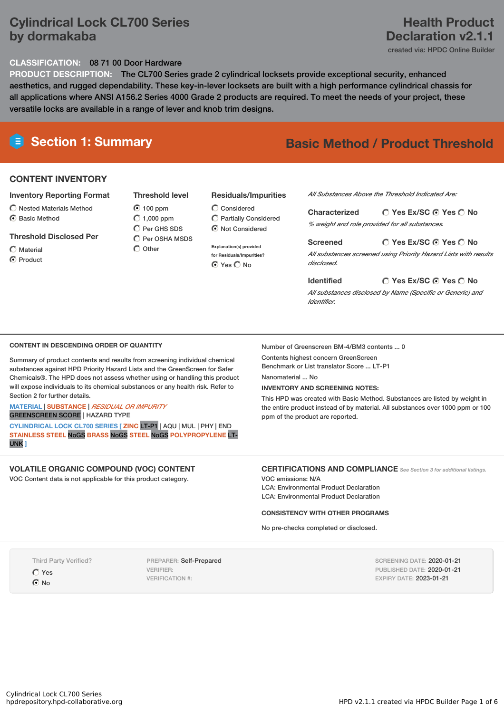## **Cylindrical Lock CL700 Series by dormakaba**

## **Health Product Declaration v2.1.1**

created via: HPDC Online Builder

#### **CLASSIFICATION:** 08 71 00 Door Hardware

**PRODUCT DESCRIPTION:** The CL700 Series grade 2 cylindrical locksets provide exceptional security, enhanced aesthetics, and rugged dependability. These key-in-lever locksets are built with a high performance cylindrical chassis for all applications where ANSI A156.2 Series 4000 Grade 2 products are required. To meet the needs of your project, these versatile locks are available in a range of lever and knob trim designs.

#### **CONTENT INVENTORY**

#### **Inventory Reporting Format**

 $\bigcap$  Nested Materials Method C Basic Method

#### **Threshold Disclosed Per**

#### $\bigcap$  Material

**⊙** Product

#### 100 ppm  $O$  1,000 ppm  $\bigcap$  Per GHS SDS

**Threshold level**

Per OSHA MSDS  $\bigcap$  Other

#### **Residuals/Impurities**

Considered Partially Considered Not Considered

**Explanation(s) provided for Residuals/Impurities?** ⊙ Yes O No

#### *All Substances Above the Threshold Indicated Are:*

**Yes Ex/SC Yes No Characterized** *% weight and role provided for all substances.*

#### **Screened**

*All substances screened using Priority Hazard Lists with results disclosed.*

#### **Yes Ex/SC Yes No**

**Yes Ex/SC Yes No**

*All substances disclosed by Name (Specific or Generic) and Identifier.*

#### **CONTENT IN DESCENDING ORDER OF QUANTITY**

Summary of product contents and results from screening individual chemical substances against HPD Priority Hazard Lists and the GreenScreen for Safer Chemicals®. The HPD does not assess whether using or handling this product will expose individuals to its chemical substances or any health risk. Refer to Section 2 for further details.

#### **MATERIAL** | **SUBSTANCE** | *RESIDUAL OR IMPURITY* GREENSCREEN SCORE | HAZARD TYPE

**CYLINDRICAL LOCK CL700 SERIES [ ZINC** LT-P1 | AQU | MUL | PHY | END **STAINLESS STEEL** NoGS **BRASS** NoGS **STEEL** NoGS **POLYPROPYLENE** LT-UNK **]**

#### **VOLATILE ORGANIC COMPOUND (VOC) CONTENT**

VOC Content data is not applicable for this product category.

### Number of Greenscreen BM-4/BM3 contents ... 0

Contents highest concern GreenScreen Benchmark or List translator Score ... LT-P1

**Identified**

Nanomaterial ... No

#### **INVENTORY AND SCREENING NOTES:**

This HPD was created with Basic Method. Substances are listed by weight in the entire product instead of by material. All substances over 1000 ppm or 100 ppm of the product are reported.

#### **CERTIFICATIONS AND COMPLIANCE** *See Section <sup>3</sup> for additional listings.*

VOC emissions: N/A LCA: Environmental Product Declaration LCA: Environmental Product Declaration

#### **CONSISTENCY WITH OTHER PROGRAMS**

No pre-checks completed or disclosed.

Third Party Verified?

Yes  $\odot$  No

PREPARER: Self-Prepared VERIFIER: VERIFICATION #:

SCREENING DATE: 2020-01-21 PUBLISHED DATE: 2020-01-21 EXPIRY DATE: 2023-01-21

# **E** Section 1: Summary **Basic Method /** Product Threshold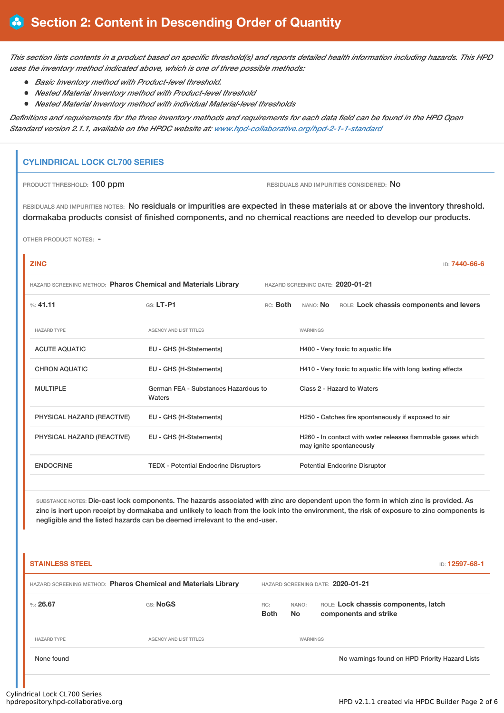This section lists contents in a product based on specific threshold(s) and reports detailed health information including hazards. This HPD *uses the inventory method indicated above, which is one of three possible methods:*

- *Basic Inventory method with Product-level threshold.*
- *Nested Material Inventory method with Product-level threshold*
- *Nested Material Inventory method with individual Material-level thresholds*

Definitions and requirements for the three inventory methods and requirements for each data field can be found in the HPD Open *Standard version 2.1.1, available on the HPDC website at: [www.hpd-collaborative.org/hpd-2-1-1-standard](https://www.hpd-collaborative.org/hpd-2-1-1-standard)*

#### **CYLINDRICAL LOCK CL700 SERIES**

PRODUCT THRESHOLD: 100 ppm **RESIDUALS** AND IMPURITIES CONSIDERED: No

RESIDUALS AND IMPURITIES NOTES: No residuals or impurities are expected in these materials at or above the inventory threshold. dormakaba products consist of finished components, and no chemical reactions are needed to develop our products.

OTHER PRODUCT NOTES: -

## **ZINC** ID: **7440-66-6** HAZARD SCREENING METHOD: **Pharos Chemical and Materials Library** HAZARD SCREENING DATE: **2020-01-21** %: **41.11** GS: **LT-P1** RC: **Both** NANO: **No** ROLE: **Lock chassis components and levers** HAZARD TYPE **AGENCY AND LIST TITLES AGENCY AND LIST TITLES** ACUTE AQUATIC EU - GHS (H-Statements) H400 - Very toxic to aquatic life CHRON AQUATIC EU - GHS (H-Statements) H410 - Very toxic to aquatic life with long lasting effects MULTIPLE German FEA - Substances Hazardous to **Waters** Class 2 - Hazard to Waters PHYSICAL HAZARD (REACTIVE) EU - GHS (H-Statements) H250 - Catches fire spontaneously if exposed to air PHYSICAL HAZARD (REACTIVE) EU - GHS (H-Statements) H260 - In contact with water releases flammable gases which may ignite spontaneously ENDOCRINE TEDX - Potential Endocrine Disruptors Potential Endocrine Disruptor

SUBSTANCE NOTES: Die-cast lock components. The hazards associated with zinc are dependent upon the form in which zinc is provided. As zinc is inert upon receipt by dormakaba and unlikely to leach from the lock into the environment, the risk of exposure to zinc components is negligible and the listed hazards can be deemed irrelevant to the end-user.

| <b>STAINLESS STEEL</b>                                         |                               |                    |                                   | <b>ID: 12597-68-1</b>                                         |  |  |  |  |
|----------------------------------------------------------------|-------------------------------|--------------------|-----------------------------------|---------------------------------------------------------------|--|--|--|--|
| HAZARD SCREENING METHOD: Pharos Chemical and Materials Library |                               |                    | HAZARD SCREENING DATE: 2020-01-21 |                                                               |  |  |  |  |
| %: $26.67$                                                     | GS: NoGS                      | RC:<br><b>Both</b> | NANO:<br><b>No</b>                | ROLE: Lock chassis components, latch<br>components and strike |  |  |  |  |
| <b>HAZARD TYPE</b>                                             | <b>AGENCY AND LIST TITLES</b> | WARNINGS           |                                   |                                                               |  |  |  |  |
| None found                                                     |                               |                    |                                   | No warnings found on HPD Priority Hazard Lists                |  |  |  |  |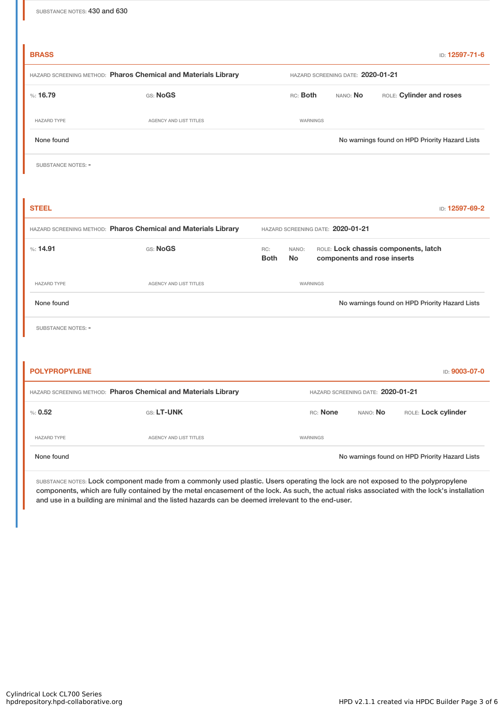| <b>BRASS</b>                                                   |                        |                                                                                                                 |                                                |                          |  |  | ID: 12597-71-6 |  |  |  |
|----------------------------------------------------------------|------------------------|-----------------------------------------------------------------------------------------------------------------|------------------------------------------------|--------------------------|--|--|----------------|--|--|--|
| HAZARD SCREENING METHOD: Pharos Chemical and Materials Library |                        |                                                                                                                 | HAZARD SCREENING DATE: 2020-01-21              |                          |  |  |                |  |  |  |
| %: 16.79                                                       | GS: NoGS               |                                                                                                                 | RC: Both                                       | ROLE: Cylinder and roses |  |  |                |  |  |  |
| <b>HAZARD TYPE</b>                                             | AGENCY AND LIST TITLES |                                                                                                                 | <b>WARNINGS</b>                                |                          |  |  |                |  |  |  |
| None found                                                     |                        |                                                                                                                 | No warnings found on HPD Priority Hazard Lists |                          |  |  |                |  |  |  |
| SUBSTANCE NOTES: -                                             |                        |                                                                                                                 |                                                |                          |  |  |                |  |  |  |
|                                                                |                        |                                                                                                                 |                                                |                          |  |  |                |  |  |  |
| <b>STEEL</b>                                                   |                        |                                                                                                                 |                                                |                          |  |  | ID: 12597-69-2 |  |  |  |
| HAZARD SCREENING METHOD: Pharos Chemical and Materials Library |                        |                                                                                                                 | HAZARD SCREENING DATE: 2020-01-21              |                          |  |  |                |  |  |  |
| %: 14.91                                                       | GS: NoGS               | ROLE: Lock chassis components, latch<br>RC:<br>NANO:<br><b>Both</b><br><b>No</b><br>components and rose inserts |                                                |                          |  |  |                |  |  |  |
| <b>HAZARD TYPE</b>                                             | AGENCY AND LIST TITLES |                                                                                                                 | <b>WARNINGS</b>                                |                          |  |  |                |  |  |  |
| None found                                                     |                        | No warnings found on HPD Priority Hazard Lists                                                                  |                                                |                          |  |  |                |  |  |  |
| SUBSTANCE NOTES: -                                             |                        |                                                                                                                 |                                                |                          |  |  |                |  |  |  |
|                                                                |                        |                                                                                                                 |                                                |                          |  |  |                |  |  |  |
| <b>POLYPROPYLENE</b>                                           |                        |                                                                                                                 |                                                |                          |  |  | ID: 9003-07-0  |  |  |  |
| HAZARD SCREENING METHOD: Pharos Chemical and Materials Library |                        |                                                                                                                 | HAZARD SCREENING DATE: 2020-01-21              |                          |  |  |                |  |  |  |
| % 0.52                                                         | GS: LT-UNK             |                                                                                                                 | RC: None<br>NANO: No<br>ROLE: Lock cylinder    |                          |  |  |                |  |  |  |
| <b>HAZARD TYPE</b>                                             | AGENCY AND LIST TITLES |                                                                                                                 | <b>WARNINGS</b>                                |                          |  |  |                |  |  |  |
| None found                                                     |                        | No warnings found on HPD Priority Hazard Lists                                                                  |                                                |                          |  |  |                |  |  |  |

SUBSTANCE NOTES: Lock component made from a commonly used plastic. Users operating the lock are not exposed to the polypropylene components, which are fully contained by the metal encasement of the lock. As such, the actual risks associated with the lock's installation and use in a building are minimal and the listed hazards can be deemed irrelevant to the end-user.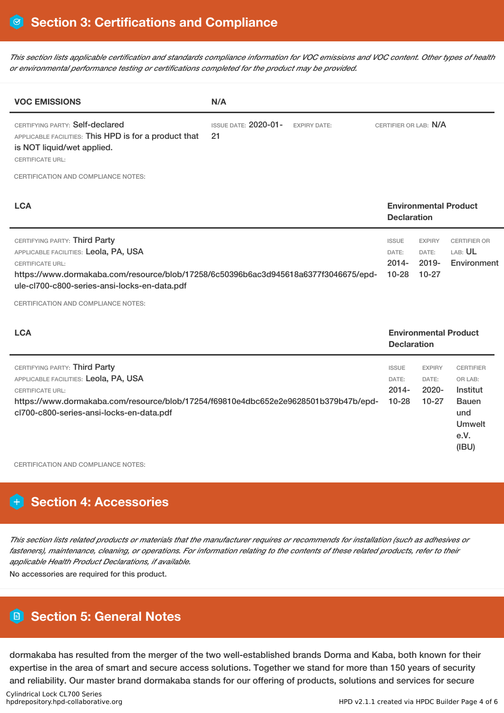This section lists applicable certification and standards compliance information for VOC emissions and VOC content. Other types of health *or environmental performance testing or certifications completed for the product may be provided.*

| <b>VOC EMISSIONS</b>                                                                                                                                                                                                                                                                   | N/A |                                                    |                                                |                                                    |                                               |  |  |
|----------------------------------------------------------------------------------------------------------------------------------------------------------------------------------------------------------------------------------------------------------------------------------------|-----|----------------------------------------------------|------------------------------------------------|----------------------------------------------------|-----------------------------------------------|--|--|
| CERTIFYING PARTY: Self-declared<br><b>ISSUE DATE: 2020-01-</b><br><b>EXPIRY DATE:</b><br>21<br>APPLICABLE FACILITIES: This HPD is for a product that<br>is NOT liquid/wet applied.<br><b>CERTIFICATE URL:</b>                                                                          |     |                                                    |                                                | CERTIFIER OR LAB: N/A                              |                                               |  |  |
| <b>CERTIFICATION AND COMPLIANCE NOTES:</b>                                                                                                                                                                                                                                             |     |                                                    |                                                |                                                    |                                               |  |  |
| <b>LCA</b>                                                                                                                                                                                                                                                                             |     | <b>Environmental Product</b><br><b>Declaration</b> |                                                |                                                    |                                               |  |  |
| CERTIFYING PARTY: Third Party<br>APPLICABLE FACILITIES: Leola, PA, USA<br><b>CERTIFICATE URL:</b><br>https://www.dormakaba.com/resource/blob/17258/6c50396b6ac3d945618a6377f3046675/epd-<br>ule-cl700-c800-series-ansi-locks-en-data.pdf<br><b>CERTIFICATION AND COMPLIANCE NOTES:</b> |     |                                                    | <b>ISSUE</b><br>DATE:<br>$2014 -$<br>$10 - 28$ | <b>EXPIRY</b><br>DATE:<br>$2019 -$<br>$10-27$      | <b>CERTIFIER OR</b><br>LAB: UL<br>Environment |  |  |
| <b>LCA</b>                                                                                                                                                                                                                                                                             |     |                                                    |                                                | <b>Environmental Product</b><br><b>Declaration</b> |                                               |  |  |
| CERTIFYING PARTY: Third Party<br>APPLICABLE FACILITIES: Leola, PA, USA<br><b>CERTIFICATE URL:</b>                                                                                                                                                                                      |     |                                                    | <b>ISSUE</b><br>DATE:<br>$2014 -$              | <b>EXPIRY</b><br>DATE:<br>$2020 -$                 | <b>CERTIFIER</b><br>OR LAB:<br>Institut       |  |  |

https://www.dormakaba.com/resource/blob/17254/f69810e4dbc652e2e9628501b379b47b/epdcl700-c800-series-ansi-locks-en-data.pdf 10-28 10-27 Bauen und Umwelt

CERTIFICATION AND COMPLIANCE NOTES:

## **Section 4: Accessories**

This section lists related products or materials that the manufacturer requires or recommends for installation (such as adhesives or fasteners), maintenance, cleaning, or operations. For information relating to the contents of these related products, refer to their *applicable Health Product Declarations, if available.*

No accessories are required for this product.

## **Section 5: General Notes**

dormakaba has resulted from the merger of the two well-established brands Dorma and Kaba, both known for their expertise in the area of smart and secure access solutions. Together we stand for more than 150 years of security and reliability. Our master brand dormakaba stands for our offering of products, solutions and services for secure

e.V. (IBU)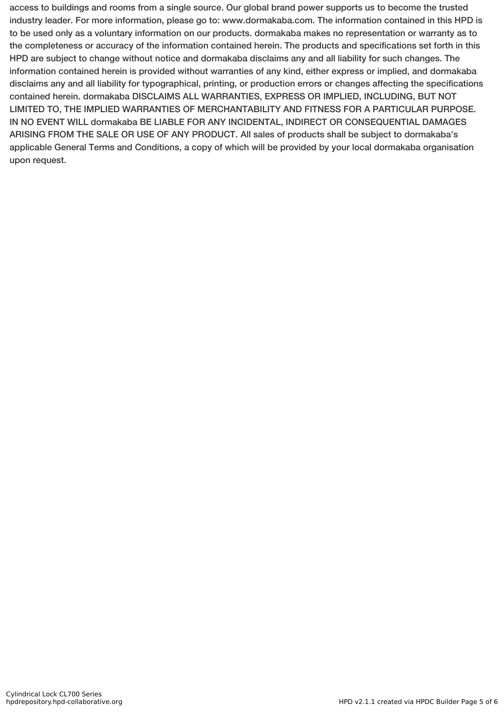access to buildings and rooms from a single source. Our global brand power supports us to become the trusted industry leader. For more information, please go to: www.dormakaba.com. The information contained in this HPD is to be used only as a voluntary information on our products. dormakaba makes no representation or warranty as to the completeness or accuracy of the information contained herein. The products and specifications set forth in this HPD are subject to change without notice and dormakaba disclaims any and all liability for such changes. The information contained herein is provided without warranties of any kind, either express or implied, and dormakaba disclaims any and all liability for typographical, printing, or production errors or changes affecting the specifications contained herein. dormakaba DISCLAIMS ALL WARRANTIES, EXPRESS OR IMPLIED, INCLUDING, BUT NOT LIMITED TO, THE IMPLIED WARRANTIES OF MERCHANTABILITY AND FITNESS FOR A PARTICULAR PURPOSE. IN NO EVENT WILL dormakaba BE LIABLE FOR ANY INCIDENTAL, INDIRECT OR CONSEQUENTIAL DAMAGES ARISING FROM THE SALE OR USE OF ANY PRODUCT. All sales of products shall be subject to dormakaba's applicable General Terms and Conditions, a copy of which will be provided by your local dormakaba organisation upon request.